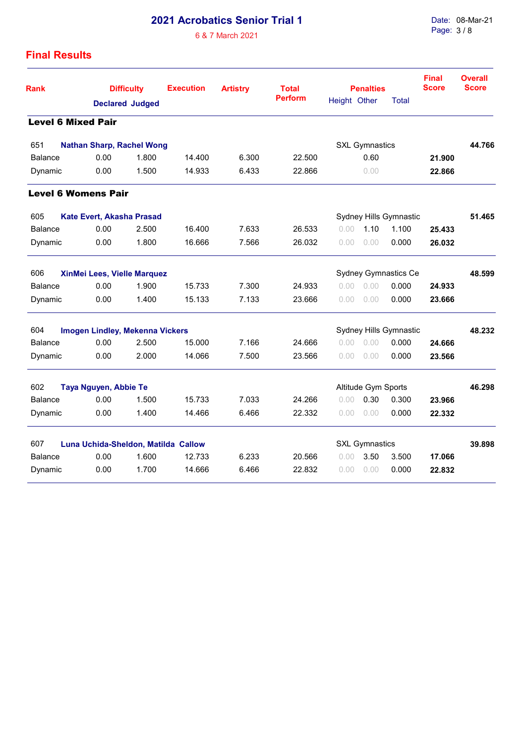## **2021 Acrobatics Senior Trial 1**

6 & 7 March 2021

Date: 08-Mar-21 Page: 3 / 8

## **Final Results**

| Rank                               | <b>Difficulty</b><br><b>Declared Judged</b> |       | <b>Execution</b> | <b>Artistry</b> | <b>Total</b>   | <b>Penalties</b>     |                        |                        | <b>Final</b><br><b>Score</b> | <b>Overall</b><br><b>Score</b> |
|------------------------------------|---------------------------------------------|-------|------------------|-----------------|----------------|----------------------|------------------------|------------------------|------------------------------|--------------------------------|
|                                    |                                             |       |                  |                 | <b>Perform</b> | Height Other         |                        | Total                  |                              |                                |
| <b>Level 6 Mixed Pair</b>          |                                             |       |                  |                 |                |                      |                        |                        |                              |                                |
| 651                                | <b>Nathan Sharp, Rachel Wong</b>            |       |                  |                 |                |                      | <b>SXL Gymnastics</b>  |                        |                              | 44.766                         |
| <b>Balance</b>                     | 0.00                                        | 1.800 | 14.400           | 6.300           | 22.500         |                      | 0.60                   |                        | 21.900                       |                                |
| Dynamic                            | 0.00                                        | 1.500 | 14.933           | 6.433           | 22.866         |                      | 0.00                   |                        | 22.866                       |                                |
|                                    | <b>Level 6 Womens Pair</b>                  |       |                  |                 |                |                      |                        |                        |                              |                                |
| 605<br>Kate Evert, Akasha Prasad   |                                             |       |                  |                 |                |                      | Sydney Hills Gymnastic |                        | 51.465                       |                                |
| <b>Balance</b>                     | 0.00                                        | 2.500 | 16.400           | 7.633           | 26.533         | 0.00                 | 1.10                   | 1.100                  | 25.433                       |                                |
| Dynamic                            | 0.00                                        | 1.800 | 16.666           | 7.566           | 26.032         | 0.00                 | 0.00                   | 0.000                  | 26.032                       |                                |
| 606<br>XinMei Lees, Vielle Marquez |                                             |       |                  |                 |                | Sydney Gymnastics Ce | 48.599                 |                        |                              |                                |
| <b>Balance</b>                     | 0.00                                        | 1.900 | 15.733           | 7.300           | 24.933         | $0.00 -$             | 0.00                   | 0.000                  | 24.933                       |                                |
| Dynamic                            | 0.00                                        | 1.400 | 15.133           | 7.133           | 23.666         | 0.00                 | 0.00                   | 0.000                  | 23.666                       |                                |
| 604                                | <b>Imogen Lindley, Mekenna Vickers</b>      |       |                  |                 |                |                      |                        | Sydney Hills Gymnastic |                              | 48.232                         |
| <b>Balance</b>                     | 0.00                                        | 2.500 | 15.000           | 7.166           | 24.666         | 0.00                 | 0.00                   | 0.000                  | 24.666                       |                                |
| Dynamic                            | 0.00                                        | 2.000 | 14.066           | 7.500           | 23.566         | 0.00                 | 0.00                   | 0.000                  | 23.566                       |                                |
| 602                                | Taya Nguyen, Abbie Te                       |       |                  |                 |                |                      | Altitude Gym Sports    |                        |                              | 46.298                         |
| <b>Balance</b>                     | 0.00                                        | 1.500 | 15.733           | 7.033           | 24.266         | 0.00                 | 0.30                   | 0.300                  | 23.966                       |                                |
| Dynamic                            | 0.00                                        | 1.400 | 14.466           | 6.466           | 22.332         | 0.00                 | 0.00                   | 0.000                  | 22.332                       |                                |
| 607                                | Luna Uchida-Sheldon, Matilda Callow         |       |                  |                 |                |                      | <b>SXL Gymnastics</b>  |                        |                              | 39.898                         |
| <b>Balance</b>                     | 0.00                                        | 1.600 | 12.733           | 6.233           | 20.566         | 0.00                 | 3.50                   | 3.500                  | 17.066                       |                                |
| Dynamic                            | 0.00                                        | 1.700 | 14.666           | 6.466           | 22.832         | 0.00                 | 0.00                   | 0.000                  | 22.832                       |                                |